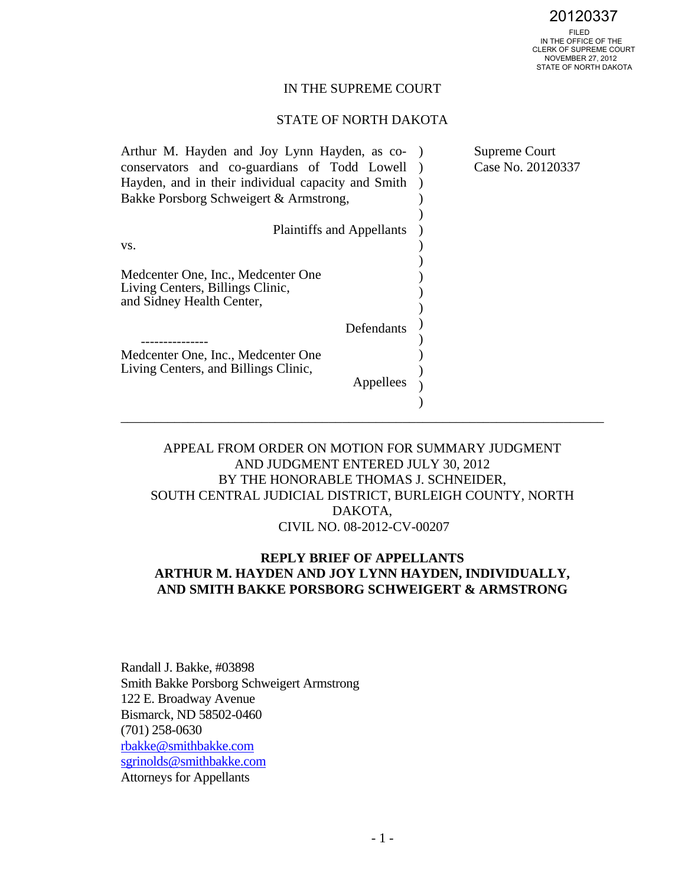FILED IN THE OFFICE OF THE CLERK OF SUPREME COURT NOVEMBER 27, 2012 STATE OF NORTH DAKOTA 20120337

### IN THE SUPREME COURT

### STATE OF NORTH DAKOTA

| Arthur M. Hayden and Joy Lynn Hayden, as co-       |  | Supreme Court     |
|----------------------------------------------------|--|-------------------|
| conservators and co-guardians of Todd Lowell       |  | Case No. 20120337 |
| Hayden, and in their individual capacity and Smith |  |                   |
| Bakke Porsborg Schweigert & Armstrong,             |  |                   |
|                                                    |  |                   |
| <b>Plaintiffs and Appellants</b>                   |  |                   |
| VS.                                                |  |                   |
|                                                    |  |                   |
| Medcenter One, Inc., Medcenter One                 |  |                   |
| Living Centers, Billings Clinic,                   |  |                   |
| and Sidney Health Center,                          |  |                   |
| Defendants                                         |  |                   |
|                                                    |  |                   |
| Medcenter One, Inc., Medcenter One                 |  |                   |
| Living Centers, and Billings Clinic,               |  |                   |
| Appellees                                          |  |                   |
|                                                    |  |                   |
|                                                    |  |                   |

# APPEAL FROM ORDER ON MOTION FOR SUMMARY JUDGMENT AND JUDGMENT ENTERED JULY 30, 2012 BY THE HONORABLE THOMAS J. SCHNEIDER, SOUTH CENTRAL JUDICIAL DISTRICT, BURLEIGH COUNTY, NORTH DAKOTA, CIVIL NO. 08-2012-CV-00207

# **REPLY BRIEF OF APPELLANTS ARTHUR M. HAYDEN AND JOY LYNN HAYDEN, INDIVIDUALLY, AND SMITH BAKKE PORSBORG SCHWEIGERT & ARMSTRONG**

Randall J. Bakke, #03898 Smith Bakke Porsborg Schweigert Armstrong 122 E. Broadway Avenue Bismarck, ND 58502-0460 (701) 258-0630 rbakke@smithbakke.com sgrinolds@smithbakke.com Attorneys for Appellants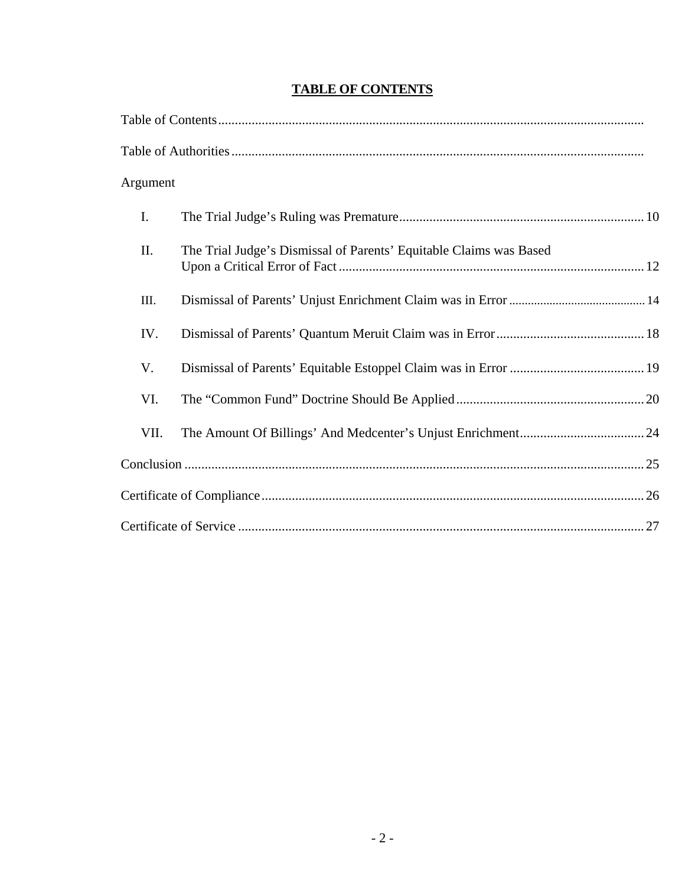|  | <b>TABLE OF CONTENTS</b> |
|--|--------------------------|
|  |                          |

| Argument |                                                                    |  |
|----------|--------------------------------------------------------------------|--|
| I.       |                                                                    |  |
| II.      | The Trial Judge's Dismissal of Parents' Equitable Claims was Based |  |
| III.     |                                                                    |  |
| IV.      |                                                                    |  |
| V.       |                                                                    |  |
| VI.      |                                                                    |  |
| VII.     |                                                                    |  |
|          |                                                                    |  |
|          |                                                                    |  |
|          |                                                                    |  |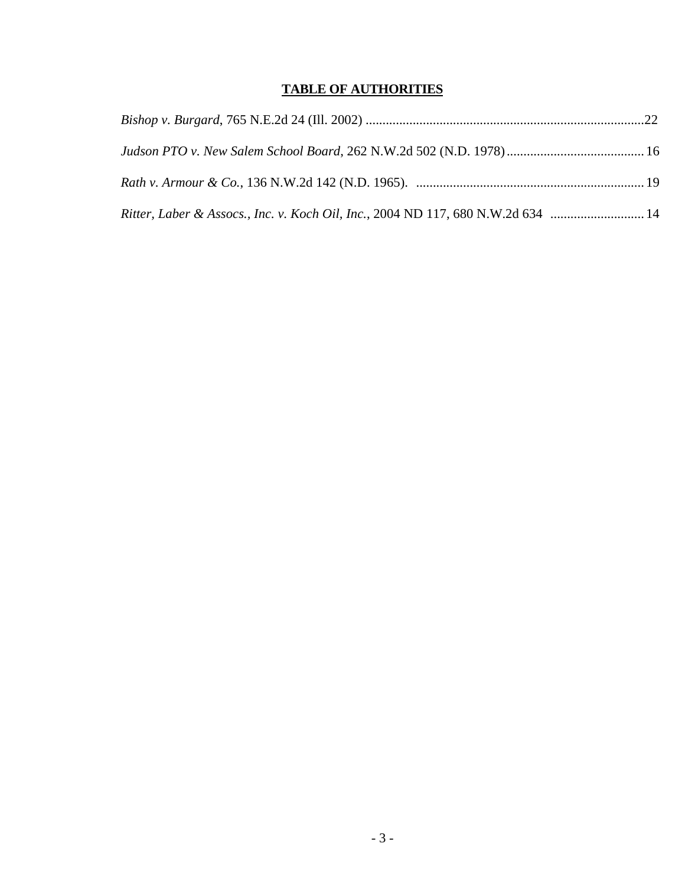# **TABLE OF AUTHORITIES**

| Ritter, Laber & Assocs., Inc. v. Koch Oil, Inc., 2004 ND 117, 680 N.W.2d 634  14 |  |
|----------------------------------------------------------------------------------|--|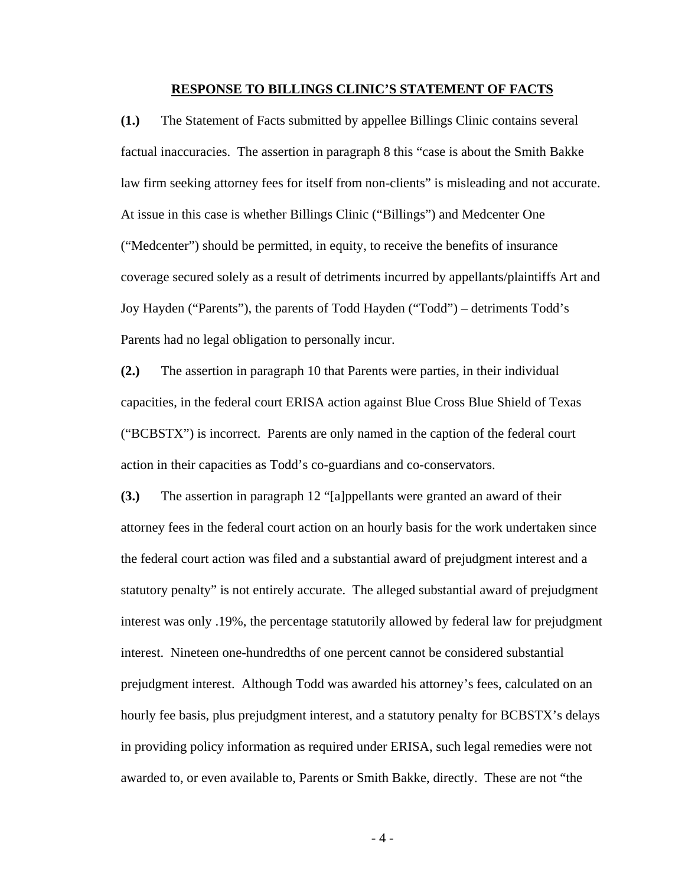#### **RESPONSE TO BILLINGS CLINIC'S STATEMENT OF FACTS**

**(1.)** The Statement of Facts submitted by appellee Billings Clinic contains several factual inaccuracies. The assertion in paragraph 8 this "case is about the Smith Bakke law firm seeking attorney fees for itself from non-clients" is misleading and not accurate. At issue in this case is whether Billings Clinic ("Billings") and Medcenter One ("Medcenter") should be permitted, in equity, to receive the benefits of insurance coverage secured solely as a result of detriments incurred by appellants/plaintiffs Art and Joy Hayden ("Parents"), the parents of Todd Hayden ("Todd") – detriments Todd's Parents had no legal obligation to personally incur.

**(2.)** The assertion in paragraph 10 that Parents were parties, in their individual capacities, in the federal court ERISA action against Blue Cross Blue Shield of Texas ("BCBSTX") is incorrect. Parents are only named in the caption of the federal court action in their capacities as Todd's co-guardians and co-conservators.

**(3.)** The assertion in paragraph 12 "[a]ppellants were granted an award of their attorney fees in the federal court action on an hourly basis for the work undertaken since the federal court action was filed and a substantial award of prejudgment interest and a statutory penalty" is not entirely accurate. The alleged substantial award of prejudgment interest was only .19%, the percentage statutorily allowed by federal law for prejudgment interest. Nineteen one-hundredths of one percent cannot be considered substantial prejudgment interest. Although Todd was awarded his attorney's fees, calculated on an hourly fee basis, plus prejudgment interest, and a statutory penalty for BCBSTX's delays in providing policy information as required under ERISA, such legal remedies were not awarded to, or even available to, Parents or Smith Bakke, directly. These are not "the

- 4 -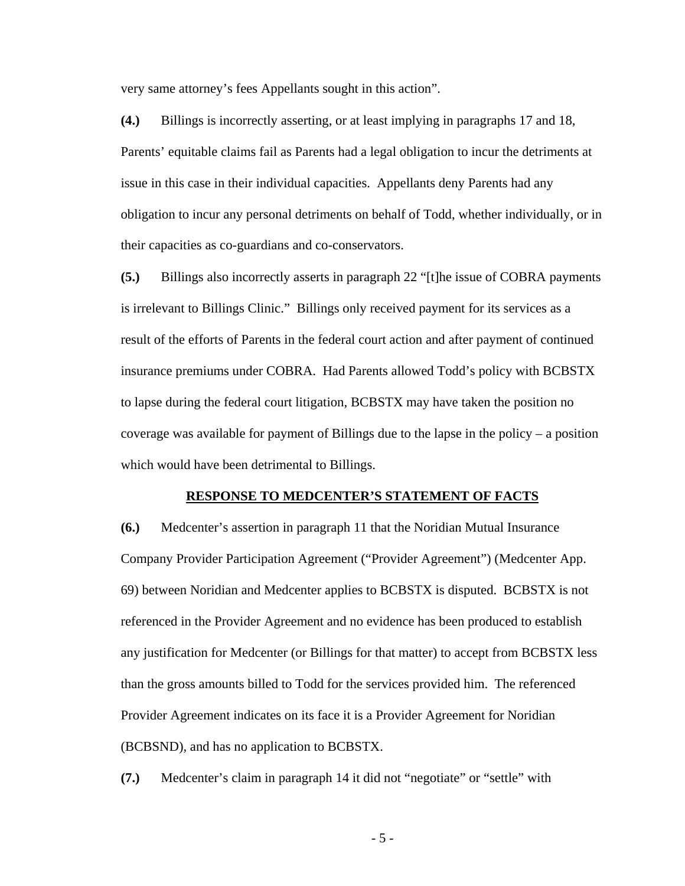very same attorney's fees Appellants sought in this action".

**(4.)** Billings is incorrectly asserting, or at least implying in paragraphs 17 and 18, Parents' equitable claims fail as Parents had a legal obligation to incur the detriments at issue in this case in their individual capacities. Appellants deny Parents had any obligation to incur any personal detriments on behalf of Todd, whether individually, or in their capacities as co-guardians and co-conservators.

**(5.)** Billings also incorrectly asserts in paragraph 22 "[t]he issue of COBRA payments is irrelevant to Billings Clinic." Billings only received payment for its services as a result of the efforts of Parents in the federal court action and after payment of continued insurance premiums under COBRA. Had Parents allowed Todd's policy with BCBSTX to lapse during the federal court litigation, BCBSTX may have taken the position no coverage was available for payment of Billings due to the lapse in the policy – a position which would have been detrimental to Billings.

#### **RESPONSE TO MEDCENTER'S STATEMENT OF FACTS**

**(6.)** Medcenter's assertion in paragraph 11 that the Noridian Mutual Insurance Company Provider Participation Agreement ("Provider Agreement") (Medcenter App. 69) between Noridian and Medcenter applies to BCBSTX is disputed. BCBSTX is not referenced in the Provider Agreement and no evidence has been produced to establish any justification for Medcenter (or Billings for that matter) to accept from BCBSTX less than the gross amounts billed to Todd for the services provided him. The referenced Provider Agreement indicates on its face it is a Provider Agreement for Noridian (BCBSND), and has no application to BCBSTX.

**(7.)** Medcenter's claim in paragraph 14 it did not "negotiate" or "settle" with

- 5 -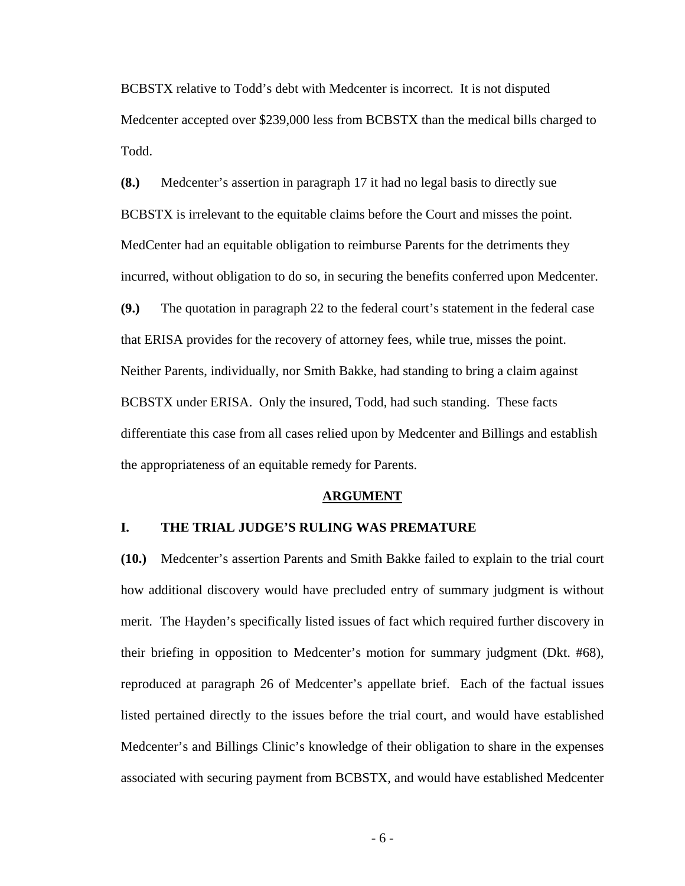BCBSTX relative to Todd's debt with Medcenter is incorrect. It is not disputed Medcenter accepted over \$239,000 less from BCBSTX than the medical bills charged to Todd.

**(8.)** Medcenter's assertion in paragraph 17 it had no legal basis to directly sue BCBSTX is irrelevant to the equitable claims before the Court and misses the point. MedCenter had an equitable obligation to reimburse Parents for the detriments they incurred, without obligation to do so, in securing the benefits conferred upon Medcenter. **(9.)** The quotation in paragraph 22 to the federal court's statement in the federal case that ERISA provides for the recovery of attorney fees, while true, misses the point. Neither Parents, individually, nor Smith Bakke, had standing to bring a claim against BCBSTX under ERISA. Only the insured, Todd, had such standing. These facts differentiate this case from all cases relied upon by Medcenter and Billings and establish the appropriateness of an equitable remedy for Parents.

#### **ARGUMENT**

#### **I. THE TRIAL JUDGE'S RULING WAS PREMATURE**

**(10.)** Medcenter's assertion Parents and Smith Bakke failed to explain to the trial court how additional discovery would have precluded entry of summary judgment is without merit. The Hayden's specifically listed issues of fact which required further discovery in their briefing in opposition to Medcenter's motion for summary judgment (Dkt. #68), reproduced at paragraph 26 of Medcenter's appellate brief. Each of the factual issues listed pertained directly to the issues before the trial court, and would have established Medcenter's and Billings Clinic's knowledge of their obligation to share in the expenses associated with securing payment from BCBSTX, and would have established Medcenter

- 6 -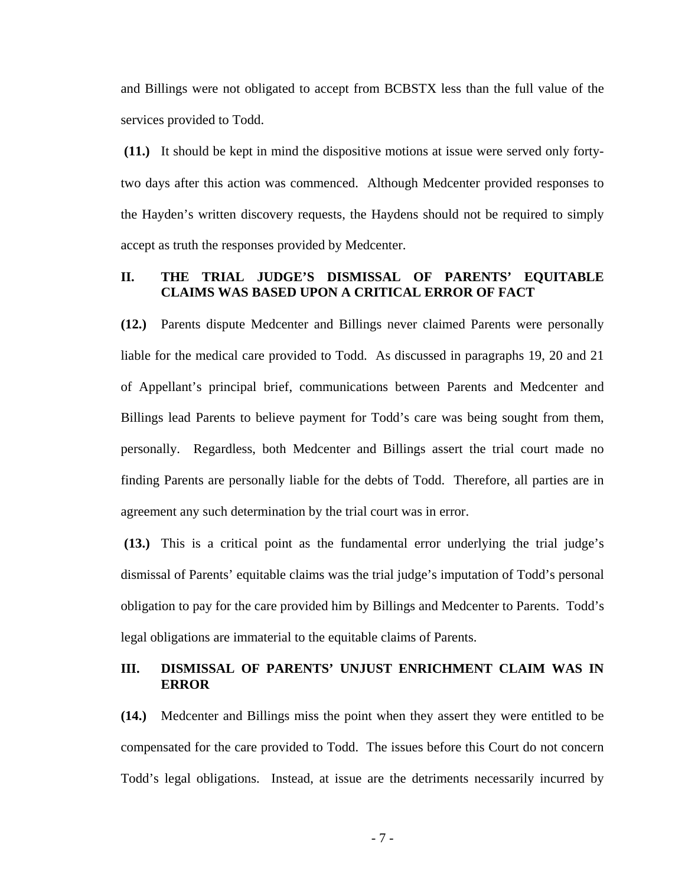and Billings were not obligated to accept from BCBSTX less than the full value of the services provided to Todd.

 **(11.)** It should be kept in mind the dispositive motions at issue were served only fortytwo days after this action was commenced. Although Medcenter provided responses to the Hayden's written discovery requests, the Haydens should not be required to simply accept as truth the responses provided by Medcenter.

# **II. THE TRIAL JUDGE'S DISMISSAL OF PARENTS' EQUITABLE CLAIMS WAS BASED UPON A CRITICAL ERROR OF FACT**

**(12.)** Parents dispute Medcenter and Billings never claimed Parents were personally liable for the medical care provided to Todd. As discussed in paragraphs 19, 20 and 21 of Appellant's principal brief, communications between Parents and Medcenter and Billings lead Parents to believe payment for Todd's care was being sought from them, personally. Regardless, both Medcenter and Billings assert the trial court made no finding Parents are personally liable for the debts of Todd. Therefore, all parties are in agreement any such determination by the trial court was in error.

 **(13.)** This is a critical point as the fundamental error underlying the trial judge's dismissal of Parents' equitable claims was the trial judge's imputation of Todd's personal obligation to pay for the care provided him by Billings and Medcenter to Parents. Todd's legal obligations are immaterial to the equitable claims of Parents.

### **III. DISMISSAL OF PARENTS' UNJUST ENRICHMENT CLAIM WAS IN ERROR**

**(14.)** Medcenter and Billings miss the point when they assert they were entitled to be compensated for the care provided to Todd. The issues before this Court do not concern Todd's legal obligations. Instead, at issue are the detriments necessarily incurred by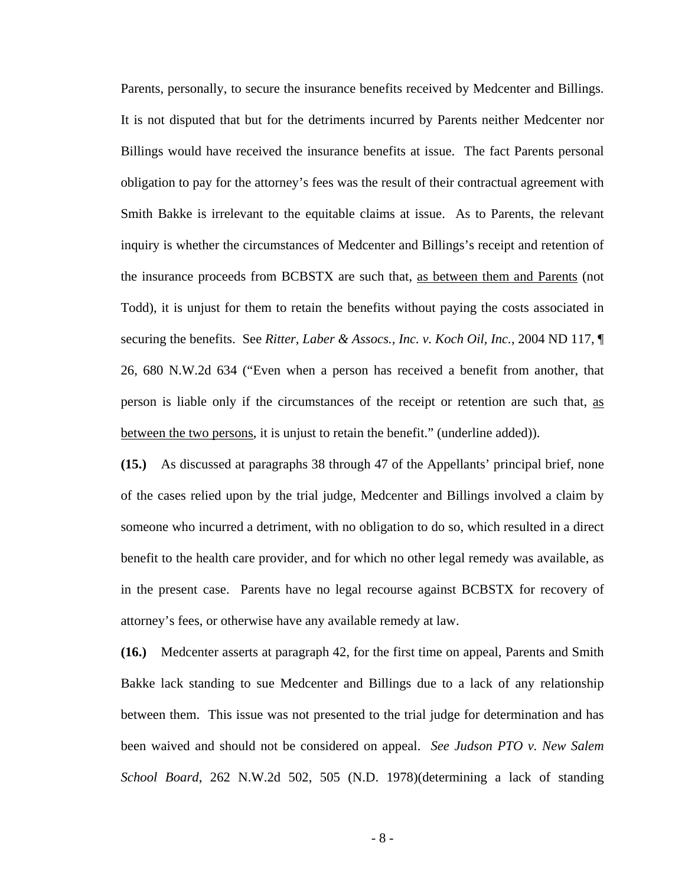Parents, personally, to secure the insurance benefits received by Medcenter and Billings. It is not disputed that but for the detriments incurred by Parents neither Medcenter nor Billings would have received the insurance benefits at issue. The fact Parents personal obligation to pay for the attorney's fees was the result of their contractual agreement with Smith Bakke is irrelevant to the equitable claims at issue. As to Parents, the relevant inquiry is whether the circumstances of Medcenter and Billings's receipt and retention of the insurance proceeds from BCBSTX are such that, as between them and Parents (not Todd), it is unjust for them to retain the benefits without paying the costs associated in securing the benefits. See *Ritter, Laber & Assocs., Inc. v. Koch Oil, Inc.*, 2004 ND 117, ¶ 26, 680 N.W.2d 634 ("Even when a person has received a benefit from another, that person is liable only if the circumstances of the receipt or retention are such that, as between the two persons, it is unjust to retain the benefit." (underline added)).

**(15.)** As discussed at paragraphs 38 through 47 of the Appellants' principal brief, none of the cases relied upon by the trial judge, Medcenter and Billings involved a claim by someone who incurred a detriment, with no obligation to do so, which resulted in a direct benefit to the health care provider, and for which no other legal remedy was available, as in the present case. Parents have no legal recourse against BCBSTX for recovery of attorney's fees, or otherwise have any available remedy at law.

**(16.)** Medcenter asserts at paragraph 42, for the first time on appeal, Parents and Smith Bakke lack standing to sue Medcenter and Billings due to a lack of any relationship between them. This issue was not presented to the trial judge for determination and has been waived and should not be considered on appeal. *See Judson PTO v. New Salem School Board*, 262 N.W.2d 502, 505 (N.D. 1978)(determining a lack of standing

- 8 -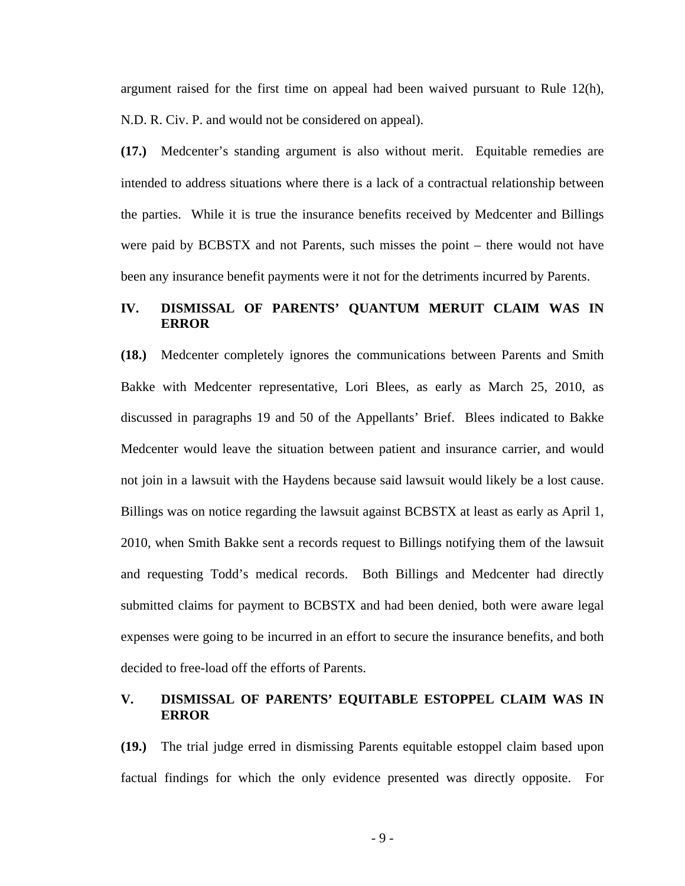argument raised for the first time on appeal had been waived pursuant to Rule 12(h), N.D. R. Civ. P. and would not be considered on appeal).

**(17.)** Medcenter's standing argument is also without merit. Equitable remedies are intended to address situations where there is a lack of a contractual relationship between the parties. While it is true the insurance benefits received by Medcenter and Billings were paid by BCBSTX and not Parents, such misses the point – there would not have been any insurance benefit payments were it not for the detriments incurred by Parents.

# **IV. DISMISSAL OF PARENTS' QUANTUM MERUIT CLAIM WAS IN ERROR**

**(18.)** Medcenter completely ignores the communications between Parents and Smith Bakke with Medcenter representative, Lori Blees, as early as March 25, 2010, as discussed in paragraphs 19 and 50 of the Appellants' Brief. Blees indicated to Bakke Medcenter would leave the situation between patient and insurance carrier, and would not join in a lawsuit with the Haydens because said lawsuit would likely be a lost cause. Billings was on notice regarding the lawsuit against BCBSTX at least as early as April 1, 2010, when Smith Bakke sent a records request to Billings notifying them of the lawsuit and requesting Todd's medical records. Both Billings and Medcenter had directly submitted claims for payment to BCBSTX and had been denied, both were aware legal expenses were going to be incurred in an effort to secure the insurance benefits, and both decided to free-load off the efforts of Parents.

### **V. DISMISSAL OF PARENTS' EQUITABLE ESTOPPEL CLAIM WAS IN ERROR**

**(19.)** The trial judge erred in dismissing Parents equitable estoppel claim based upon factual findings for which the only evidence presented was directly opposite. For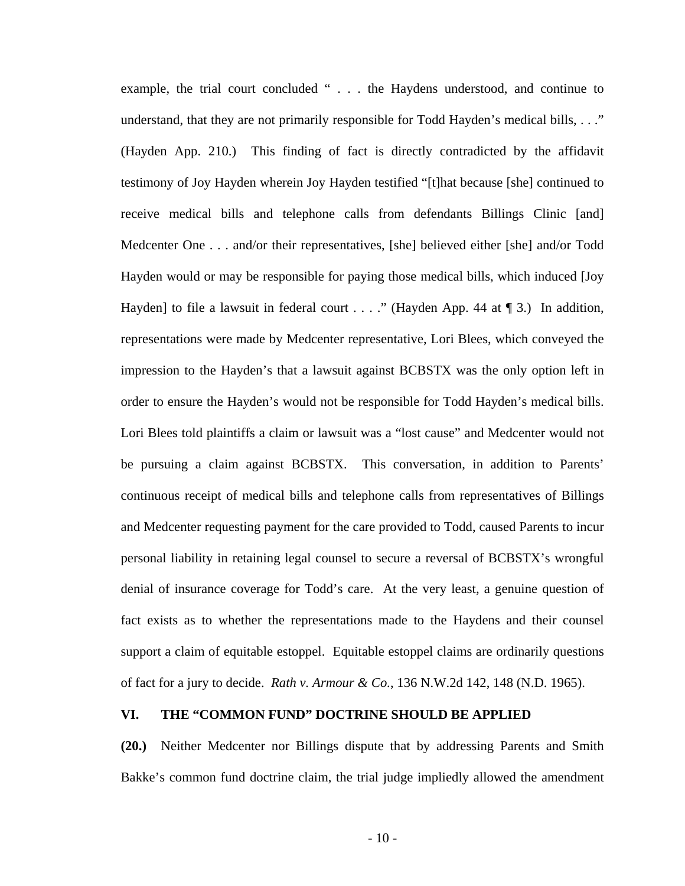example, the trial court concluded " . . . the Haydens understood, and continue to understand, that they are not primarily responsible for Todd Hayden's medical bills, . . ." (Hayden App. 210.) This finding of fact is directly contradicted by the affidavit testimony of Joy Hayden wherein Joy Hayden testified "[t]hat because [she] continued to receive medical bills and telephone calls from defendants Billings Clinic [and] Medcenter One . . . and/or their representatives, [she] believed either [she] and/or Todd Hayden would or may be responsible for paying those medical bills, which induced [Joy Hayden] to file a lawsuit in federal court . . . ." (Hayden App. 44 at  $\P$  3.) In addition, representations were made by Medcenter representative, Lori Blees, which conveyed the impression to the Hayden's that a lawsuit against BCBSTX was the only option left in order to ensure the Hayden's would not be responsible for Todd Hayden's medical bills. Lori Blees told plaintiffs a claim or lawsuit was a "lost cause" and Medcenter would not be pursuing a claim against BCBSTX. This conversation, in addition to Parents' continuous receipt of medical bills and telephone calls from representatives of Billings and Medcenter requesting payment for the care provided to Todd, caused Parents to incur personal liability in retaining legal counsel to secure a reversal of BCBSTX's wrongful denial of insurance coverage for Todd's care. At the very least, a genuine question of fact exists as to whether the representations made to the Haydens and their counsel support a claim of equitable estoppel. Equitable estoppel claims are ordinarily questions of fact for a jury to decide. *Rath v. Armour & Co.*, 136 N.W.2d 142, 148 (N.D. 1965).

# **VI. THE "COMMON FUND" DOCTRINE SHOULD BE APPLIED**

**(20.)** Neither Medcenter nor Billings dispute that by addressing Parents and Smith Bakke's common fund doctrine claim, the trial judge impliedly allowed the amendment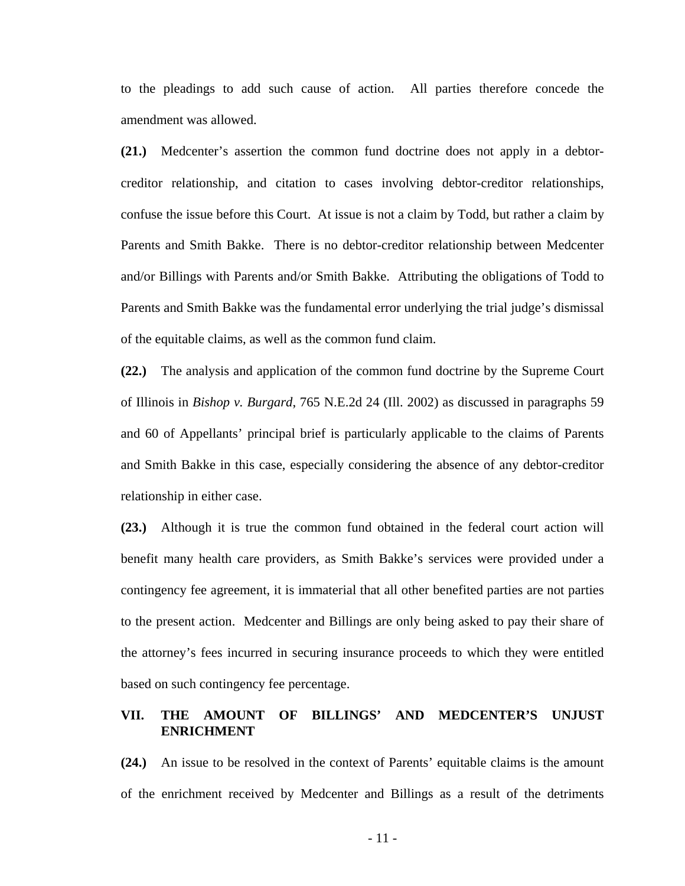to the pleadings to add such cause of action. All parties therefore concede the amendment was allowed.

**(21.)** Medcenter's assertion the common fund doctrine does not apply in a debtorcreditor relationship, and citation to cases involving debtor-creditor relationships, confuse the issue before this Court. At issue is not a claim by Todd, but rather a claim by Parents and Smith Bakke. There is no debtor-creditor relationship between Medcenter and/or Billings with Parents and/or Smith Bakke. Attributing the obligations of Todd to Parents and Smith Bakke was the fundamental error underlying the trial judge's dismissal of the equitable claims, as well as the common fund claim.

**(22.)** The analysis and application of the common fund doctrine by the Supreme Court of Illinois in *Bishop v. Burgard*, 765 N.E.2d 24 (Ill. 2002) as discussed in paragraphs 59 and 60 of Appellants' principal brief is particularly applicable to the claims of Parents and Smith Bakke in this case, especially considering the absence of any debtor-creditor relationship in either case.

**(23.)** Although it is true the common fund obtained in the federal court action will benefit many health care providers, as Smith Bakke's services were provided under a contingency fee agreement, it is immaterial that all other benefited parties are not parties to the present action. Medcenter and Billings are only being asked to pay their share of the attorney's fees incurred in securing insurance proceeds to which they were entitled based on such contingency fee percentage.

# **VII. THE AMOUNT OF BILLINGS' AND MEDCENTER'S UNJUST ENRICHMENT**

**(24.)** An issue to be resolved in the context of Parents' equitable claims is the amount of the enrichment received by Medcenter and Billings as a result of the detriments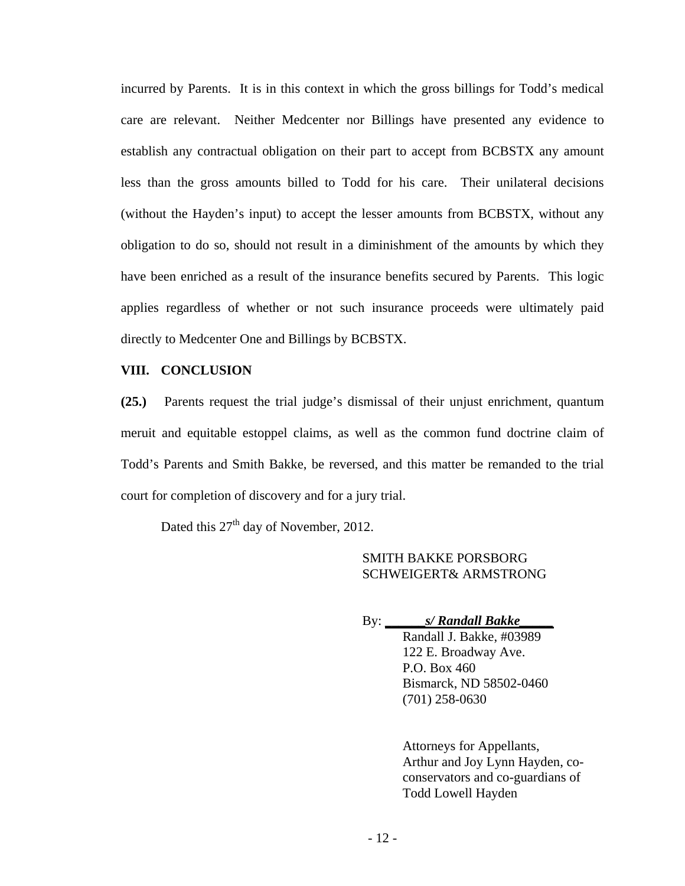incurred by Parents. It is in this context in which the gross billings for Todd's medical care are relevant. Neither Medcenter nor Billings have presented any evidence to establish any contractual obligation on their part to accept from BCBSTX any amount less than the gross amounts billed to Todd for his care. Their unilateral decisions (without the Hayden's input) to accept the lesser amounts from BCBSTX, without any obligation to do so, should not result in a diminishment of the amounts by which they have been enriched as a result of the insurance benefits secured by Parents. This logic applies regardless of whether or not such insurance proceeds were ultimately paid directly to Medcenter One and Billings by BCBSTX.

#### **VIII. CONCLUSION**

**(25.)** Parents request the trial judge's dismissal of their unjust enrichment, quantum meruit and equitable estoppel claims, as well as the common fund doctrine claim of Todd's Parents and Smith Bakke, be reversed, and this matter be remanded to the trial court for completion of discovery and for a jury trial.

Dated this 27<sup>th</sup> day of November, 2012.

### SMITH BAKKE PORSBORG SCHWEIGERT& ARMSTRONG

By: **\_\_\_\_\_\_***s/ Randall Bakke\_\_\_\_\_*

Randall J. Bakke, #03989 122 E. Broadway Ave. P.O. Box 460 Bismarck, ND 58502-0460 (701) 258-0630

Attorneys for Appellants, Arthur and Joy Lynn Hayden, coconservators and co-guardians of Todd Lowell Hayden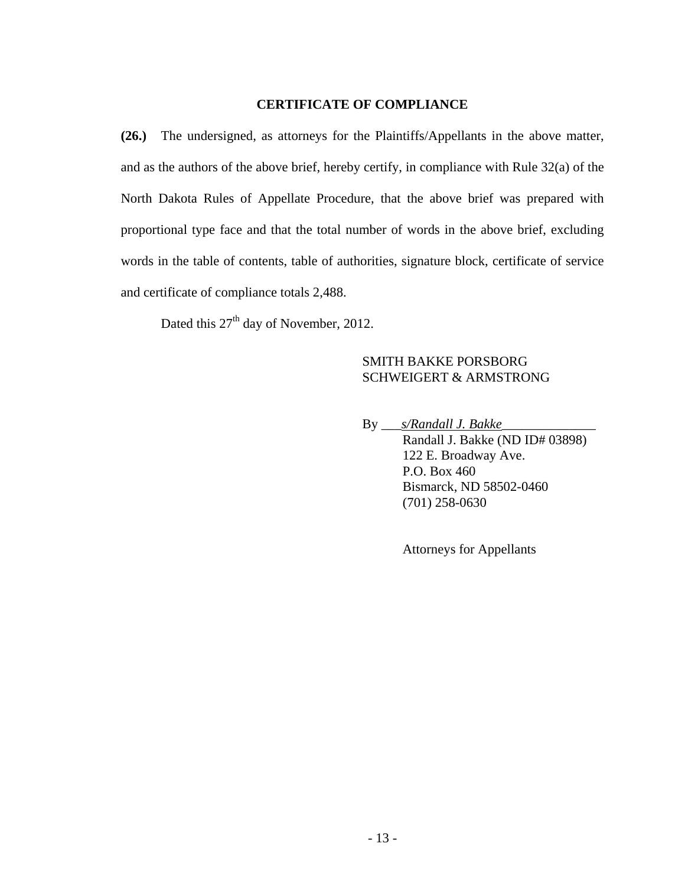#### **CERTIFICATE OF COMPLIANCE**

**(26.)** The undersigned, as attorneys for the Plaintiffs/Appellants in the above matter, and as the authors of the above brief, hereby certify, in compliance with Rule 32(a) of the North Dakota Rules of Appellate Procedure, that the above brief was prepared with proportional type face and that the total number of words in the above brief, excluding words in the table of contents, table of authorities, signature block, certificate of service and certificate of compliance totals 2,488.

Dated this  $27<sup>th</sup>$  day of November, 2012.

# SMITH BAKKE PORSBORG SCHWEIGERT & ARMSTRONG

By \_\_\_*s/Randall J. Bakke*\_\_\_\_\_\_\_\_\_\_\_\_\_\_ Randall J. Bakke (ND ID# 03898) 122 E. Broadway Ave. P.O. Box 460 Bismarck, ND 58502-0460 (701) 258-0630

Attorneys for Appellants